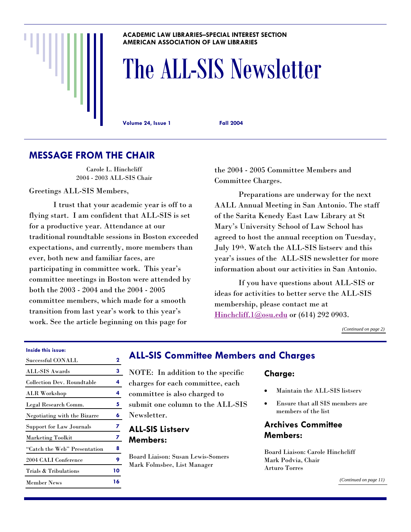#### **ACADEMIC LAW LIBRARIES–SPECIAL INTEREST SECTION AMERICAN ASSOCIATION OF LAW LIBRARIES**

# The ALL-SIS Newsletter

**Volume 24, Issue 1 Fall 2004** 

# **MESSAGE FROM THE CHAIR**

Carole L. Hinchcliff 2004 - 2003 ALL-SIS Chair

Greetings ALL-SIS Members,

 I trust that your academic year is off to a flying start. I am confident that ALL-SIS is set for a productive year. Attendance at our traditional roundtable sessions in Boston exceeded expectations, and currently, more members than ever, both new and familiar faces, are participating in committee work. This year's committee meetings in Boston were attended by both the 2003 - 2004 and the 2004 - 2005 committee members, which made for a smooth transition from last year's work to this year's work. See the article beginning on this page for

the 2004 - 2005 Committee Members and Committee Charges.

 Preparations are underway for the next AALL Annual Meeting in San Antonio. The staff of the Sarita Kenedy East Law Library at St Mary's University School of Law School has agreed to host the annual reception on Tuesday, July 19th. Watch the ALL-SIS listserv and this year's issues of the ALL-SIS newsletter for more information about our activities in San Antonio.

 If you have questions about ALL-SIS or ideas for activities to better serve the ALL-SIS membership, please contact me at [Hinchcliff.1@osu.edu](mailto:hinchcliff.1@osu.edu) or (614) 292 0903.

*[\(Continued on page 2\)](#page-1-0)* 

#### **Inside this issue:**

| Successful CONALL               | $\mathbf 2$ |
|---------------------------------|-------------|
| ALL-SIS Awards                  | 3           |
| Collection Dev. Roundtable      | 4           |
| <b>ALR</b> Workshop             | 4           |
| Legal Research Comm.            | 5           |
| Negotiating with the Bizarre    | 6           |
| <b>Support for Law Journals</b> | 7           |
| <b>Marketing Toolkit</b>        | 7           |
| "Catch the Web" Presentation    | 8           |
| 2004 CALI Conference            | 9           |
| Trials & Tribulations           | 10          |
| Member News                     | 16          |

# **ALL-SIS Committee Members and Charges**

- NOTE: In addition to the specific
- charges for each committee, each
- committee is also charged to
- submit one column to the ALL-SIS
- Newsletter.

#### **ALL-SIS Listserv Members:**

Board Liaison: Susan Lewis-Somers Mark Folmsbee, List Manager

#### **Charge:**

- Maintain the ALL-SIS listserv
- Ensure that all SIS members are members of the list

# **Archives Committee Members:**

Board Liaison: Carole Hinchcliff Mark Podvia, Chair Arturo Torres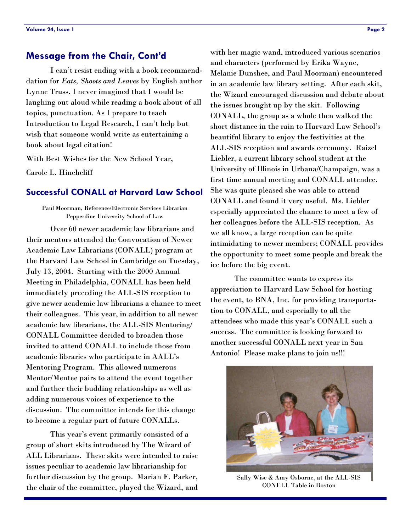#### <span id="page-1-0"></span>**Message from the Chair, Cont'd**

 I can't resist ending with a book recommenddation for *Eats, Shoots and Leaves* by English author Lynne Truss. I never imagined that I would be laughing out aloud while reading a book about of all topics, punctuation. As I prepare to teach Introduction to Legal Research, I can't help but wish that someone would write as entertaining a book about legal citation!

With Best Wishes for the New School Year,

Carole L. Hinchcliff

#### **Successful CONALL at Harvard Law School**

Paul Moorman, Reference/Electronic Services Librarian Pepperdine University School of Law

 Over 60 newer academic law librarians and their mentors attended the Convocation of Newer Academic Law Librarians (CONALL) program at the Harvard Law School in Cambridge on Tuesday, July 13, 2004. Starting with the 2000 Annual Meeting in Philadelphia, CONALL has been held immediately preceding the ALL-SIS reception to give newer academic law librarians a chance to meet their colleagues. This year, in addition to all newer academic law librarians, the ALL-SIS Mentoring/ CONALL Committee decided to broaden those invited to attend CONALL to include those from academic libraries who participate in AALL's Mentoring Program. This allowed numerous Mentor/Mentee pairs to attend the event together and further their budding relationships as well as adding numerous voices of experience to the discussion. The committee intends for this change to become a regular part of future CONALLs.

 This year's event primarily consisted of a group of short skits introduced by The Wizard of ALL Librarians. These skits were intended to raise issues peculiar to academic law librarianship for further discussion by the group. Marian F. Parker, the chair of the committee, played the Wizard, and

with her magic wand, introduced various scenarios and characters (performed by Erika Wayne, Melanie Dunshee, and Paul Moorman) encountered in an academic law library setting. After each skit, the Wizard encouraged discussion and debate about the issues brought up by the skit. Following CONALL, the group as a whole then walked the short distance in the rain to Harvard Law School's beautiful library to enjoy the festivities at the ALL-SIS reception and awards ceremony. Raizel Liebler, a current library school student at the University of Illinois in Urbana/Champaign, was a first time annual meeting and CONALL attendee. She was quite pleased she was able to attend CONALL and found it very useful. Ms. Liebler especially appreciated the chance to meet a few of her colleagues before the ALL-SIS reception. As we all know, a large reception can be quite intimidating to newer members; CONALL provides the opportunity to meet some people and break the ice before the big event.

 The committee wants to express its appreciation to Harvard Law School for hosting the event, to BNA, Inc. for providing transportation to CONALL, and especially to all the attendees who made this year's CONALL such a success. The committee is looking forward to another successful CONALL next year in San Antonio! Please make plans to join us!!!



Sally Wise & Amy Osborne, at the ALL-SIS CONELL Table in Boston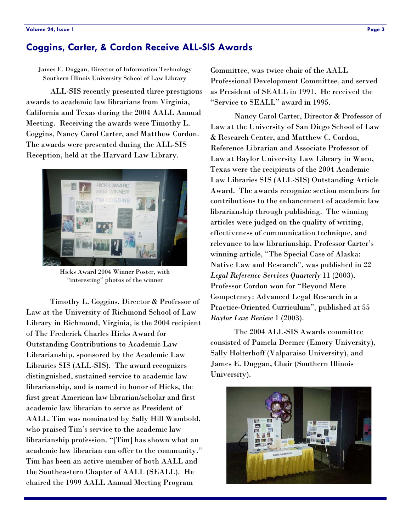# <span id="page-2-0"></span>**Coggins, Carter, & Cordon Receive ALL-SIS Awards**

James E. Duggan, Director of Information Technology Southern Illinois University School of Law Library

 ALL-SIS recently presented three prestigious awards to academic law librarians from Virginia, California and Texas during the 2004 AALL Annual Meeting. Receiving the awards were Timothy L. Coggins, Nancy Carol Carter, and Matthew Cordon. The awards were presented during the ALL-SIS Reception, held at the Harvard Law Library.



Hicks Award 2004 Winner Poster, with "interesting" photos of the winner

 Timothy L. Coggins, Director & Professor of Law at the University of Richmond School of Law Library in Richmond, Virginia, is the 2004 recipient of The Frederick Charles Hicks Award for Outstanding Contributions to Academic Law Librarianship, sponsored by the Academic Law Libraries SIS (ALL-SIS). The award recognizes distinguished, sustained service to academic law librarianship, and is named in honor of Hicks, the first great American law librarian/scholar and first academic law librarian to serve as President of AALL. Tim was nominated by Sally Hill Wambold, who praised Tim's service to the academic law librarianship profession, "[Tim] has shown what an academic law librarian can offer to the community." Tim has been an active member of both AALL and the Southeastern Chapter of AALL (SEALL). He chaired the 1999 AALL Annual Meeting Program

Committee, was twice chair of the AALL Professional Development Committee, and served as President of SEALL in 1991. He received the "Service to SEALL" award in 1995.

 Nancy Carol Carter, Director & Professor of Law at the University of San Diego School of Law & Research Center, and Matthew C. Cordon, Reference Librarian and Associate Professor of Law at Baylor University Law Library in Waco, Texas were the recipients of the 2004 Academic Law Libraries SIS (ALL-SIS) Outstanding Article Award. The awards recognize section members for contributions to the enhancement of academic law librarianship through publishing. The winning articles were judged on the quality of writing, effectiveness of communication technique, and relevance to law librarianship. Professor Carter's winning article, "The Special Case of Alaska: Native Law and Research", was published in 22 *Legal Reference Services Quarterly* 11 (2003). Professor Cordon won for "Beyond Mere Competency: Advanced Legal Research in a Practice-Oriented Curriculum", published at 55 *Baylor Law Review* 1 (2003).

 The 2004 ALL-SIS Awards committee consisted of Pamela Deemer (Emory University), Sally Holterhoff (Valparaiso University), and James E. Duggan, Chair (Southern Illinois University).

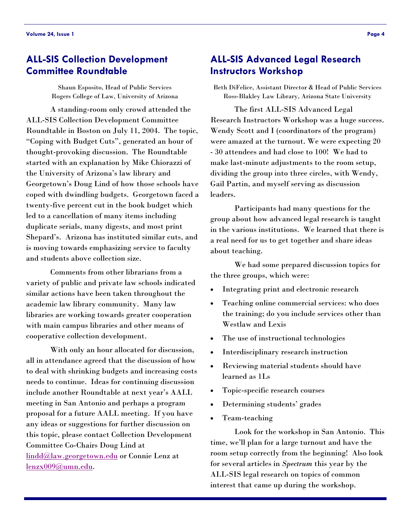# <span id="page-3-0"></span>**ALL-SIS Collection Development Committee Roundtable**

Shaun Esposito, Head of Public Services Rogers College of Law, University of Arizona

 A standing-room only crowd attended the ALL-SIS Collection Development Committee Roundtable in Boston on July 11, 2004. The topic, "Coping with Budget Cuts", generated an hour of thought-provoking discussion. The Roundtable started with an explanation by Mike Chiorazzi of the University of Arizona's law library and Georgetown's Doug Lind of how those schools have coped with dwindling budgets. Georgetown faced a twenty-five percent cut in the book budget which led to a cancellation of many items including duplicate serials, many digests, and most print Shepard's. Arizona has instituted similar cuts, and is moving towards emphasizing service to faculty and students above collection size.

 Comments from other librarians from a variety of public and private law schools indicated similar actions have been taken throughout the academic law library community. Many law libraries are working towards greater cooperation with main campus libraries and other means of cooperative collection development.

 With only an hour allocated for discussion, all in attendance agreed that the discussion of how to deal with shrinking budgets and increasing costs needs to continue. Ideas for continuing discussion include another Roundtable at next year's AALL meeting in San Antonio and perhaps a program proposal for a future AALL meeting. If you have any ideas or suggestions for further discussion on this topic, please contact Collection Development Committee Co-Chairs Doug Lind at [lindd@law.georgetown.edu](mailto:lindd@law.georgetown.edu) or Connie Lenz at [lenzx009@umn.edu.](mailto:lenzx009@umn.edu)

# **ALL-SIS Advanced Legal Research Instructors Workshop**

Beth DiFelice, Assistant Director & Head of Public Services Ross-Blakley Law Library, Arizona State University

 The first ALL-SIS Advanced Legal Research Instructors Workshop was a huge success. Wendy Scott and I (coordinators of the program) were amazed at the turnout. We were expecting 20 - 30 attendees and had close to 100! We had to make last-minute adjustments to the room setup, dividing the group into three circles, with Wendy, Gail Partin, and myself serving as discussion leaders.

 Participants had many questions for the group about how advanced legal research is taught in the various institutions. We learned that there is a real need for us to get together and share ideas about teaching.

 We had some prepared discussion topics for the three groups, which were:

- Integrating print and electronic research
- Teaching online commercial services: who does the training; do you include services other than Westlaw and Lexis
- The use of instructional technologies
- Interdisciplinary research instruction
- Reviewing material students should have learned as 1Ls
- Topic-specific research courses
- Determining students' grades
- Team-teaching

 Look for the workshop in San Antonio. This time, we'll plan for a large turnout and have the room setup correctly from the beginning! Also look for several articles in *Spectrum* this year by the ALL-SIS legal research on topics of common interest that came up during the workshop.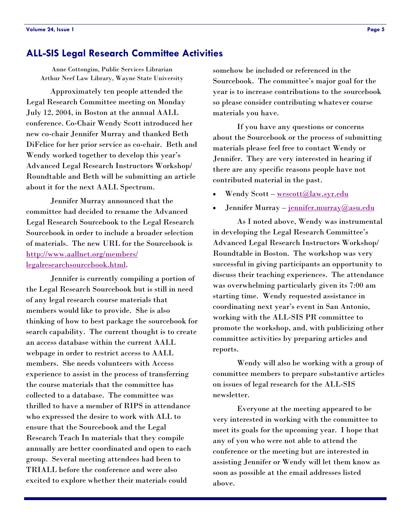#### <span id="page-4-0"></span>**ALL-SIS Legal Research Committee Activities**

Anne Cottongim, Public Services Librarian Arthur Neef Law Library, Wayne State University

 Approximately ten people attended the Legal Research Committee meeting on Monday July 12, 2004, in Boston at the annual AALL conference. Co-Chair Wendy Scott introduced her new co-chair Jennifer Murray and thanked Beth DiFelice for her prior service as co-chair. Beth and Wendy worked together to develop this year's Advanced Legal Research Instructors Workshop/ Roundtable and Beth will be submitting an article about it for the next AALL Spectrum.

 Jennifer Murray announced that the committee had decided to rename the Advanced Legal Research Sourcebook to the Legal Research Sourcebook in order to include a broader selection of materials. The new URL for the Sourcebook is [http://www.aallnet.org/members/](http://www.aallnet.org/members/legalresearchsourcebook.html) legalresearchsourcebook.html.

 Jennifer is currently compiling a portion of the Legal Research Sourcebook but is still in need of any legal research course materials that members would like to provide. She is also thinking of how to best package the sourcebook for search capability. The current thought is to create an access database within the current AALL webpage in order to restrict access to AALL members. She needs volunteers with Access experience to assist in the process of transferring the course materials that the committee has collected to a database. The committee was thrilled to have a member of RIPS in attendance who expressed the desire to work with ALL to ensure that the Sourcebook and the Legal Research Teach In materials that they compile annually are better coordinated and open to each group. Several meeting attendees had been to TRIALL before the conference and were also excited to explore whether their materials could

somehow be included or referenced in the Sourcebook. The committee's major goal for the year is to increase contributions to the sourcebook so please consider contributing whatever course materials you have.

 If you have any questions or concerns about the Sourcebook or the process of submitting materials please feel free to contact Wendy or Jennifer. They are very interested in hearing if there are any specific reasons people have not contributed material in the past.

- Wendy Scott – [wescott@law.syr.edu](mailto:wescott@law.syr.edu)
- Jennifer Murray – [jennifer.murray@asu.edu](mailto:jennifer.murray@asu.edu)

 As I noted above, Wendy was instrumental in developing the Legal Research Committee's Advanced Legal Research Instructors Workshop/ Roundtable in Boston. The workshop was very successful in giving participants an opportunity to discuss their teaching experiences. The attendance was overwhelming particularly given its 7:00 am starting time. Wendy requested assistance in coordinating next year's event in San Antonio, working with the ALL-SIS PR committee to promote the workshop, and, with publicizing other committee activities by preparing articles and reports.

 Wendy will also be working with a group of committee members to prepare substantive articles on issues of legal research for the ALL-SIS newsletter.

 Everyone at the meeting appeared to be very interested in working with the committee to meet its goals for the upcoming year. I hope that any of you who were not able to attend the conference or the meeting but are interested in assisting Jennifer or Wendy will let them know as soon as possible at the email addresses listed above.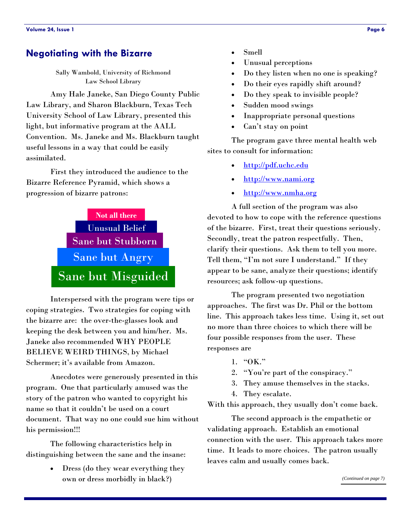#### <span id="page-5-0"></span>**Negotiating with the Bizarre**

Sally Wambold, University of Richmond Law School Library

 Amy Hale Janeke, San Diego County Public Law Library, and Sharon Blackburn, Texas Tech University School of Law Library, presented this light, but informative program at the AALL Convention. Ms. Janeke and Ms. Blackburn taught useful lessons in a way that could be easily assimilated.

 First they introduced the audience to the Bizarre Reference Pyramid, which shows a progression of bizarre patrons:



 Interspersed with the program were tips or coping strategies. Two strategies for coping with the bizarre are: the over-the-glasses look and keeping the desk between you and him/her. Ms. Janeke also recommended WHY PEOPLE BELIEVE WEIRD THINGS, by Michael Schermer; it's available from Amazon.

 Anecdotes were generously presented in this program. One that particularly amused was the story of the patron who wanted to copyright his name so that it couldn't be used on a court document. That way no one could sue him without his permission!!!

 The following characteristics help in distinguishing between the sane and the insane:

> • Dress (do they wear everything they own or dress morbidly in black?)

- Smell
- Unusual perceptions
- Do they listen when no one is speaking?
- Do their eyes rapidly shift around?
- Do they speak to invisible people?
- Sudden mood swings
- Inappropriate personal questions
- Can't stay on point

 The program gave three mental health web sites to consult for information:

- <http://pdf.uchc.edu>
- <http://www.nami.org>
- <http://www.nmha.org>

 A full section of the program was also devoted to how to cope with the reference questions of the bizarre. First, treat their questions seriously. Secondly, treat the patron respectfully. Then, clarify their questions. Ask them to tell you more. Tell them, "I'm not sure I understand." If they appear to be sane, analyze their questions; identify resources; ask follow-up questions.

 The program presented two negotiation approaches. The first was Dr. Phil or the bottom line. This approach takes less time. Using it, set out no more than three choices to which there will be four possible responses from the user. These responses are

- 1. "OK."
- 2. "You're part of the conspiracy."
- 3. They amuse themselves in the stacks.
- 4. They escalate.

With this approach, they usually don't come back.

 The second approach is the empathetic or validating approach. Establish an emotional connection with the user. This approach takes more time. It leads to more choices. The patron usually leaves calm and usually comes back.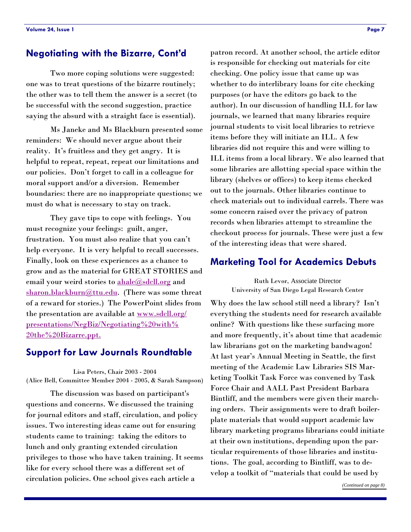#### <span id="page-6-0"></span>**Negotiating with the Bizarre, Cont'd**

 Two more coping solutions were suggested: one was to treat questions of the bizarre routinely; the other was to tell them the answer is a secret (to be successful with the second suggestion, practice saying the absurd with a straight face is essential).

 Ms Janeke and Ms Blackburn presented some reminders: We should never argue about their reality. It's fruitless and they get angry. It is helpful to repeat, repeat, repeat our limitations and our policies. Don't forget to call in a colleague for moral support and/or a diversion. Remember boundaries: there are no inappropriate questions; we must do what is necessary to stay on track.

 They gave tips to cope with feelings. You must recognize your feelings: guilt, anger, frustration. You must also realize that you can't help everyone. It is very helpful to recall successes. Finally, look on these experiences as a chance to grow and as the material for GREAT STORIES and email your weird stories to [ahale@sdcll.org](mailto:ahale@sdcll.org) and [sharon.blackburn@ttu.edu.](mailto:sharon.blackburn@ttu.edu) (There was some threat of a reward for stories.) The PowerPoint slides from the presentation are available at [www.sdcll.org/](www.sdcll.org/presentations/NegBiz/Negotiating%20with%20the%20Bizarre.ppt) [presentations/NegBiz/Negotiating%20with%](www.sdcll.org/presentations/NegBiz/Negotiating%20with%20the%20Bizarre.ppt) 20the%20Bizarre.ppt.

#### **Support for Law Journals Roundtable**

Lisa Peters, Chair 2003 - 2004 (Alice Bell, Committee Member 2004 - 2005, & Sarah Sampson)

 The discussion was based on participant's questions and concerns. We discussed the training for journal editors and staff, circulation, and policy issues. Two interesting ideas came out for ensuring students came to training: taking the editors to lunch and only granting extended circulation privileges to those who have taken training. It seems like for every school there was a different set of circulation policies. One school gives each article a

patron record. At another school, the article editor is responsible for checking out materials for cite checking. One policy issue that came up was whether to do interlibrary loans for cite checking purposes (or have the editors go back to the author). In our discussion of handling ILL for law journals, we learned that many libraries require journal students to visit local libraries to retrieve items before they will initiate an ILL. A few libraries did not require this and were willing to ILL items from a local library. We also learned that some libraries are allotting special space within the library (shelves or offices) to keep items checked out to the journals. Other libraries continue to check materials out to individual carrels. There was some concern raised over the privacy of patron records when libraries attempt to streamline the checkout process for journals. These were just a few of the interesting ideas that were shared.

## **Marketing Tool for Academics Debuts**

Ruth Levor, Associate Director University of San Diego Legal Research Center

Why does the law school still need a library? Isn't everything the students need for research available online? With questions like these surfacing more and more frequently, it's about time that academic law librarians got on the marketing bandwagon! At last year's Annual Meeting in Seattle, the first meeting of the Academic Law Libraries SIS Marketing Toolkit Task Force was convened by Task Force Chair and AALL Past President Barbara Bintliff, and the members were given their marching orders. Their assignments were to draft boilerplate materials that would support academic law library marketing programs librarians could initiate at their own institutions, depending upon the particular requirements of those libraries and institutions. The goal, according to Bintliff, was to develop a toolkit of "materials that could be used by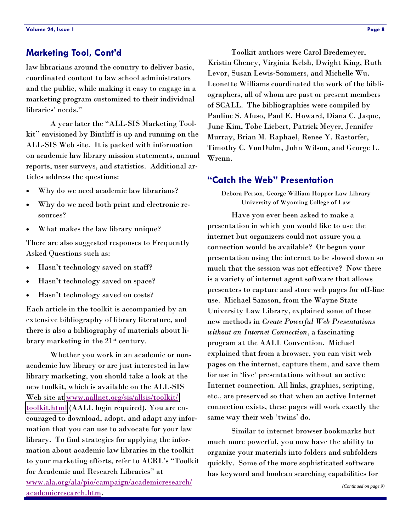law librarians around the country to deliver basic, coordinated content to law school administrators and the public, while making it easy to engage in a marketing program customized to their individual libraries' needs."

 A year later the "ALL-SIS Marketing Toolkit" envisioned by Bintliff is up and running on the ALL-SIS Web site. It is packed with information on academic law library mission statements, annual reports, user surveys, and statistics. Additional articles address the questions:

- Why do we need academic law librarians?
- Why do we need both print and electronic resources?
- What makes the law library unique?

There are also suggested responses to Frequently Asked Questions such as:

- Hasn't technology saved on staff?
- Hasn't technology saved on space?
- Hasn't technology saved on costs?

Each article in the toolkit is accompanied by an extensive bibliography of library literature, and there is also a bibliography of materials about library marketing in the 21st century.

 Whether you work in an academic or nonacademic law library or are just interested in law library marketing, you should take a look at the new toolkit, which is available on the ALL-SIS Web site at [www.aallnet.org/sis/allsis/toolkit/](www.aallnet.org/sis/allsis/toolkit/toolkit.html) [toolkit.html](www.aallnet.org/sis/allsis/toolkit/toolkit.html) (AALL login required). You are encouraged to download, adopt, and adapt any information that you can use to advocate for your law library. To find strategies for applying the information about academic law libraries in the toolkit to your marketing efforts, refer to ACRL's "Toolkit for Academic and Research Libraries" at [www.ala.org/ala/pio/campaign/academicresearch/](www.ala.org/ala/pio/campaign/academicresearch/academicresearch.htm) academicresearch.htm.

<span id="page-7-0"></span>**Marketing Tool, Cont'd The Context Context** Toolkit authors were Carol Bredemeyer, Kristin Cheney, Virginia Kelsh, Dwight King, Ruth Levor, Susan Lewis-Sommers, and Michelle Wu. Leonette Williams coordinated the work of the bibliographers, all of whom are past or present members of SCALL. The bibliographies were compiled by Pauline S. Afuso, Paul E. Howard, Diana C. Jaque, June Kim, Tobe Liebert, Patrick Meyer, Jennifer Murray, Brian M. Raphael, Renee Y. Rastorfer, Timothy C. VonDulm, John Wilson, and George L. Wrenn.

#### **"Catch the Web" Presentation**

Debora Person, George William Hopper Law Library University of Wyoming College of Law

 Have you ever been asked to make a presentation in which you would like to use the internet but organizers could not assure you a connection would be available? Or begun your presentation using the internet to be slowed down so much that the session was not effective? Now there is a variety of internet agent software that allows presenters to capture and store web pages for off-line use. Michael Samson, from the Wayne State University Law Library, explained some of these new methods in *Create Powerful Web Presentations without an Internet Connection*, a fascinating program at the AALL Convention. Michael explained that from a browser, you can visit web pages on the internet, capture them, and save them for use in 'live' presentations without an active Internet connection. All links, graphics, scripting, etc., are preserved so that when an active Internet connection exists, these pages will work exactly the same way their web 'twins' do.

 Similar to internet browser bookmarks but much more powerful, you now have the ability to organize your materials into folders and subfolders quickly. Some of the more sophisticated software has keyword and boolean searching capabilities for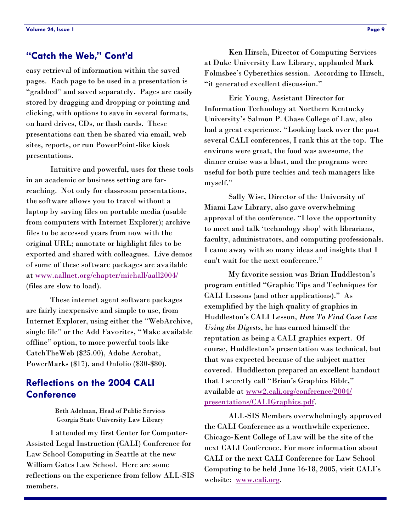#### <span id="page-8-0"></span>**"Catch the Web," Cont'd**

easy retrieval of information within the saved pages. Each page to be used in a presentation is "grabbed" and saved separately. Pages are easily stored by dragging and dropping or pointing and clicking, with options to save in several formats, on hard drives, CDs, or flash cards. These presentations can then be shared via email, web sites, reports, or run PowerPoint-like kiosk presentations.

 Intuitive and powerful, uses for these tools in an academic or business setting are farreaching. Not only for classroom presentations, the software allows you to travel without a laptop by saving files on portable media (usable from computers with Internet Explorer); archive files to be accessed years from now with the original URL; annotate or highlight files to be exported and shared with colleagues. Live demos of some of these software packages are available a[t www.aallnet.org/chapter/michall/aall2004/](www.aallnet.org/chapter/michall/aall2004/) (files are slow to load).

 These internet agent software packages are fairly inexpensive and simple to use, from Internet Explorer, using either the "WebArchive, single file" or the Add Favorites, "Make available offline" option, to more powerful tools like CatchTheWeb (\$25.00), Adobe Acrobat, PowerMarks (\$17), and Onfolio (\$30-\$80).

# **Reflections on the 2004 CALI Conference**

Beth Adelman, Head of Public Services Georgia State University Law Library

 I attended my first Center for Computer-Assisted Legal Instruction (CALI) Conference for Law School Computing in Seattle at the new William Gates Law School. Here are some reflections on the experience from fellow ALL-SIS members.

 Ken Hirsch, Director of Computing Services at Duke University Law Library, applauded Mark Folmsbee's Cyberethics session. According to Hirsch, "it generated excellent discussion."

 Eric Young, Assistant Director for Information Technology at Northern Kentucky University's Salmon P. Chase College of Law, also had a great experience. "Looking back over the past several CALI conferences, I rank this at the top. The environs were great, the food was awesome, the dinner cruise was a blast, and the programs were useful for both pure techies and tech managers like myself."

 Sally Wise, Director of the University of Miami Law Library, also gave overwhelming approval of the conference. "I love the opportunity to meet and talk 'technology shop' with librarians, faculty, administrators, and computing professionals. I came away with so many ideas and insights that I can't wait for the next conference."

 My favorite session was Brian Huddleston's program entitled "Graphic Tips and Techniques for CALI Lessons (and other applications)." As exemplified by the high quality of graphics in Huddleston's CALI Lesson, *How To Find Case Law Using the Digests*, he has earned himself the reputation as being a CALI graphics expert. Of course, Huddleston's presentation was technical, but that was expected because of the subject matter covered. Huddleston prepared an excellent handout that I secretly call "Brian's Graphics Bible," available at [www2.cali.org/conference/2004/](www2.cali.org/conference/2004/presentations/CALIGraphics.pdf) [presentations/CALIGraphics.pdf.](www2.cali.org/conference/2004/presentations/CALIGraphics.pdf)

 ALL-SIS Members overwhelmingly approved the CALI Conference as a worthwhile experience. Chicago-Kent College of Law will be the site of the next CALI Conference. For more information about CALI or the next CALI Conference for Law School Computing to be held June 16-18, 2005, visit CALI's website: [www.cali.org.](www.cali.org)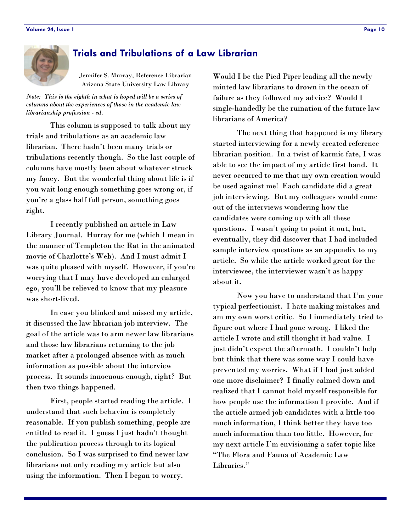<span id="page-9-0"></span>

# **Trials and Tribulations of a Law Librarian**

Jennifer S. Murray, Reference Librarian Arizona State University Law Library

*Note: This is the eighth in what is hoped will be a series of columns about the experiences of those in the academic law librarianship profession - ed.* 

 This column is supposed to talk about my trials and tribulations as an academic law librarian. There hadn't been many trials or tribulations recently though. So the last couple of columns have mostly been about whatever struck my fancy. But the wonderful thing about life is if you wait long enough something goes wrong or, if you're a glass half full person, something goes right.

 I recently published an article in Law Library Journal. Hurray for me (which I mean in the manner of Templeton the Rat in the animated movie of Charlotte's Web). And I must admit I was quite pleased with myself. However, if you're worrying that I may have developed an enlarged ego, you'll be relieved to know that my pleasure was short-lived.

 In case you blinked and missed my article, it discussed the law librarian job interview. The goal of the article was to arm newer law librarians and those law librarians returning to the job market after a prolonged absence with as much information as possible about the interview process. It sounds innocuous enough, right? But then two things happened.

 First, people started reading the article. I understand that such behavior is completely reasonable. If you publish something, people are entitled to read it. I guess I just hadn't thought the publication process through to its logical conclusion. So I was surprised to find newer law librarians not only reading my article but also using the information. Then I began to worry.

Would I be the Pied Piper leading all the newly minted law librarians to drown in the ocean of failure as they followed my advice? Would I single-handedly be the ruination of the future law librarians of America?

 The next thing that happened is my library started interviewing for a newly created reference librarian position. In a twist of karmic fate, I was able to see the impact of my article first hand. It never occurred to me that my own creation would be used against me! Each candidate did a great job interviewing. But my colleagues would come out of the interviews wondering how the candidates were coming up with all these questions. I wasn't going to point it out, but, eventually, they did discover that I had included sample interview questions as an appendix to my article. So while the article worked great for the interviewee, the interviewer wasn't as happy about it.

 Now you have to understand that I'm your typical perfectionist. I hate making mistakes and am my own worst critic. So I immediately tried to figure out where I had gone wrong. I liked the article I wrote and still thought it had value. I just didn't expect the aftermath. I couldn't help but think that there was some way I could have prevented my worries. What if I had just added one more disclaimer? I finally calmed down and realized that I cannot hold myself responsible for how people use the information I provide. And if the article armed job candidates with a little too much information, I think better they have too much information than too little. However, for my next article I'm envisioning a safer topic like "The Flora and Fauna of Academic Law Libraries."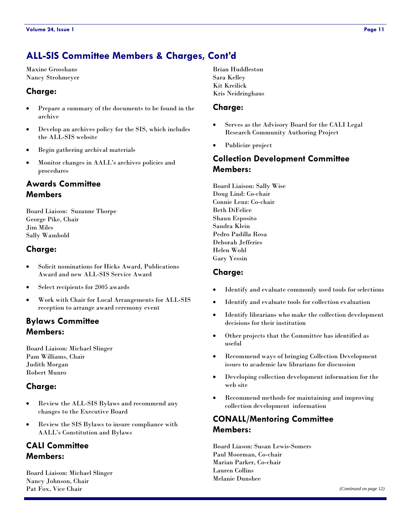<span id="page-10-0"></span>Maxine Grosshans Nancy Strohmeyer

#### **Charge:**

- Prepare a summary of the documents to be found in the archive
- Develop an archives policy for the SIS, which includes the ALL-SIS website
- Begin gathering archival materials
- Monitor changes in AALL's archives policies and procedures

# **Awards Committee Members**

Board Liaison: Suzanne Thorpe George Pike, Chair Jim Miles Sally Wambold

#### **Charge:**

- Solicit nominations for Hicks Award, Publications Award and new ALL-SIS Service Award
- Select recipients for 2005 awards
- Work with Chair for Local Arrangements for ALL-SIS reception to arrange award ceremony event

# **Bylaws Committee Members:**

Board Liaison: Michael Slinger Pam Williams, Chair Judith Morgan Robert Munro

#### **Charge:**

- Review the ALL-SIS Bylaws and recommend any changes to the Executive Board
- Review the SIS Bylaws to insure compliance with AALL's Constitution and Bylaws

# **CALI Committee Members:**

Board Liaison: Michael Slinger Nancy Johnson, Chair Pat Fox, Vice Chair

Brian Huddleston Sara Kelley Kit Kreilick Kris Neidringhaus

#### **Charge:**

- Serves as the Advisory Board for the CALI Legal Research Community Authoring Project
- Publicize project

# **Collection Development Committee Members:**

Board Liaison: Sally Wise Doug Lind: Co-chair Connie Lenz: Co-chair Beth DiFelice Shaun Esposito Sandra Klein Pedro Padilla Rosa Deborah Jefferies Helen Wohl Gary Yessin

#### **Charge:**

- Identify and evaluate commonly used tools for selections
- Identify and evaluate tools for collection evaluation
- Identify librarians who make the collection development decisions for their institution
- Other projects that the Committee has identified as useful
- Recommend ways of bringing Collection Development issues to academic law librarians for discussion
- Developing collection development information for the web site
- Recommend methods for maintaining and improving collection development information

# **CONALL/Mentoring Committee Members:**

Board Liason: Susan Lewis-Somers Paul Moorman, Co-chair Marian Parker, Co-chair Lauren Collins Melanie Dunshee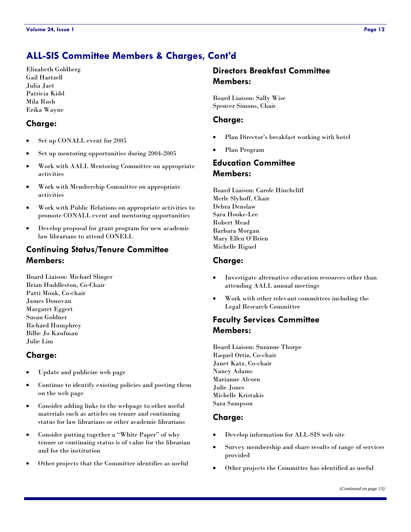Elizabeth Goldberg Gail Hartzell Julia Jaet Patricia Kidd Mila Rush Erika Wayne

#### **Charge:**

- Set up CONALL event for 2005
- Set up mentoring opportunities during 2004-2005
- Work with AALL Mentoring Committee on appropriate activities
- Work with Membership Committee on appropriate activities
- Work with Public Relations on appropriate activities to promote CONALL event and mentoring opportunities
- Develop proposal for grant program for new academic law librarians to attend CONELL

#### **Continuing Status/Tenure Committee Members:**

Board Liaison: Michael Slinger Brian Huddleston, Co-Chair Patti Monk, Co-chair James Donovan Margaret Eggert Susan Goldner Richard Humphrey Billie Jo Kaufman Julie Lim

#### **Charge:**

- Update and publicize web page
- Continue to identify existing policies and posting them on the web page
- Consider adding links to the webpage to other useful materials such as articles on tenure and continuing status for law librarians or other academic librarians
- Consider putting together a "White Paper" of why tenure or continuing status is of value for the librarian and for the institution
- Other projects that the Committee identifies as useful

### **Directors Breakfast Committee Members:**

Board Liaison: Sally Wise Spencer Simons, Chair

#### **Charge:**

- Plan Director's breakfast working with hotel
- Plan Program

# **Education Committee Members:**

Board Liaison: Carole Hinchcliff Merle Slyhoff, Chair Debra Denslaw Sara Hooke-Lee Robert Mead Barbara Morgan Mary Ellen O'Brien Michelle Riguel

#### **Charge:**

- Investigate alternative education resources other than attending AALL annual meetings
- Work with other relevant committees including the Legal Research Committee

#### **Faculty Services Committee Members:**

Board Liaison: Suzanne Thorpe Raquel Ortiz, Co-chair Janet Katz, Co-chair Nancy Adams Marianne Alcorn Julie Jones Michelle Kristakis Sara Sampson

#### **Charge:**

- Develop information for ALL-SIS web site
- Survey membership and share results of range of services provided
- Other projects the Committee has identified as useful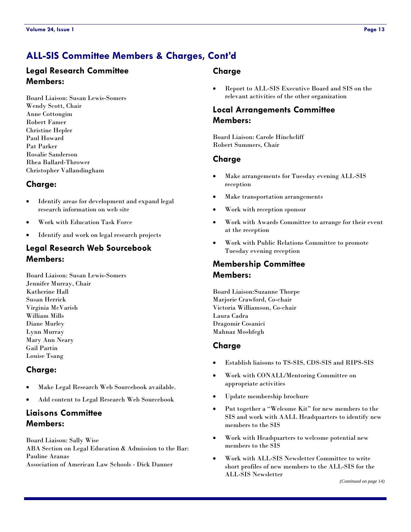### **Legal Research Committee Members:**

Board Liaison: Susan Lewis-Somers Wendy Scott, Chair Anne Cottongim Robert Famer Christine Hepler Paul Howard Pat Parker Rosalie Sanderson Rhea Ballard-Thrower Christopher Vallandingham

#### **Charge:**

- Identify areas for development and expand legal research information on web site
- Work with Education Task Force
- Identify and work on legal research projects

# **Legal Research Web Sourcebook Members:**

Board Liaison: Susan Lewis-Somers Jennifer Murray, Chair Katherine Hall Susan Herrick Virginia McVarish William Mills Diane Murley Lynn Murray Mary Ann Neary Gail Partin Louise Tsang

#### **Charge:**

- Make Legal Research Web Sourcebook available.
- Add content to Legal Research Web Sourcebook

# **Liaisons Committee Members:**

Board Liaison: Sally Wise ABA Section on Legal Education & Admission to the Bar: Pauline Aranas

Association of American Law Schools - Dick Danner

#### **Charge**

• Report to ALL-SIS Executive Board and SIS on the relevant activities of the other organization

#### **Local Arrangements Committee Members:**

Board Liaison: Carole Hinchcliff Robert Summers, Chair

#### **Charge**

- Make arrangements for Tuesday evening ALL-SIS reception
- Make transportation arrangements
- Work with reception sponsor
- Work with Awards Committee to arrange for their event at the reception
- Work with Public Relations Committee to promote Tuesday evening reception

# **Membership Committee Members:**

Board Liaison:Suzanne Thorpe Marjorie Crawford, Co-chair Victoria Williamson, Co-chair Laura Cadra Dragomir Cosanici Mahnaz Moshfegh

#### **Charge**

- Establish liaisons to TS-SIS, CDS-SIS and RIPS-SIS
- Work with CONALL/Mentoring Committee on appropriate activities
- Update membership brochure
- Put together a "Welcome Kit" for new members to the SIS and work with AALL Headquarters to identify new members to the SIS
- Work with Headquarters to welcome potential new members to the SIS
- Work with ALL-SIS Newsletter Committee to write short profiles of new members to the ALL-SIS for the ALL-SIS Newsletter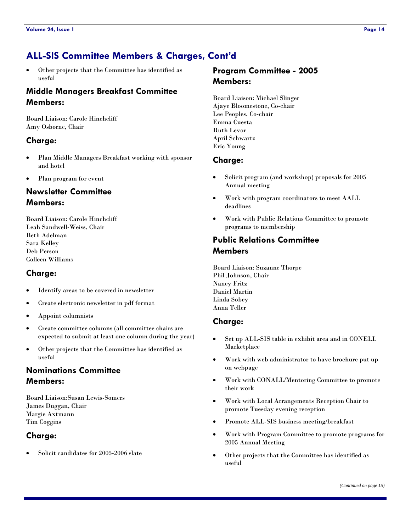• Other projects that the Committee has identified as useful

#### **Middle Managers Breakfast Committee Members:**

Board Liaison: Carole Hinchcliff Amy Osborne, Chair

#### **Charge:**

- Plan Middle Managers Breakfast working with sponsor and hotel
- Plan program for event

# **Newsletter Committee Members:**

Board Liaison: Carole Hinchcliff Leah Sandwell-Weiss, Chair Beth Adelman Sara Kelley Deb Person Colleen Williams

#### **Charge:**

- Identify areas to be covered in newsletter
- Create electronic newsletter in pdf format
- Appoint columnists
- Create committee columns (all committee chairs are expected to submit at least one column during the year)
- Other projects that the Committee has identified as useful

# **Nominations Committee Members:**

Board Liaison:Susan Lewis-Somers James Duggan, Chair Margie Axtmann Tim Coggins

#### **Charge:**

• Solicit candidates for 2005-2006 slate

## **Program Committee - 2005 Members:**

Board Liaison: Michael Slinger Ajaye Bloomestone, Co-chair Lee Peoples, Co-chair Emma Cuesta Ruth Levor April Schwartz Eric Young

#### **Charge:**

- Solicit program (and workshop) proposals for 2005 Annual meeting
- Work with program coordinators to meet AALL deadlines
- Work with Public Relations Committee to promote programs to membership

#### **Public Relations Committee Members**

Board Liaison: Suzanne Thorpe Phil Johnson, Chair Nancy Fritz Daniel Martin Linda Sobey Anna Teller

#### **Charge:**

- Set up ALL-SIS table in exhibit area and in CONELL Marketplace
- Work with web administrator to have brochure put up on webpage
- Work with CONALL/Mentoring Committee to promote their work
- Work with Local Arrangements Reception Chair to promote Tuesday evening reception
- Promote ALL-SIS business meeting/breakfast
- Work with Program Committee to promote programs for 2005 Annual Meeting
- Other projects that the Committee has identified as useful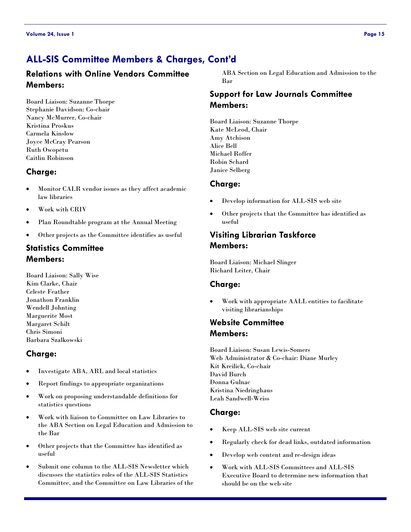# **Relations with Online Vendors Committee Members:**

Board Liaison: Suzanne Thorpe Stephanie Davidson: Co-chair Nancy McMurrer, Co-chair Kristina Proskus Carmela Kinslow Joyce McCray Pearson Ruth Owopetu Caitlin Robinson

# **Charge:**

- Monitor CALR vendor issues as they affect academic law libraries
- Work with CRIV
- Plan Roundtable program at the Annual Meeting
- Other projects as the Committee identifies as useful

# **Statistics Committee Members:**

Board Liaison: Sally Wise Kim Clarke, Chair Celeste Feather Jonathon Franklin Wendell Johnting Marguerite Most Margaret Schilt Chris Simoni Barbara Szalkowski

# **Charge:**

- Investigate ABA, ARL and local statistics
- Report findings to appropriate organizations
- Work on proposing understandable definitions for statistics questions
- Work with liaison to Committee on Law Libraries to the ABA Section on Legal Education and Admission to the Bar
- Other projects that the Committee has identified as useful
- Submit one column to the ALL-SIS Newsletter which discusses the statistics roles of the ALL-SIS Statistics Committee, and the Committee on Law Libraries of the

ABA Section on Legal Education and Admission to the Bar

# **Support for Law Journals Committee Members:**

Board Liaison: Suzanne Thorpe Kate McLeod, Chair Amy Atchison Alice Bell Michael Roffer Robin Schard Janice Selberg

# **Charge:**

- Develop information for ALL-SIS web site
- Other projects that the Committee has identified as useful

# **Visiting Librarian Taskforce Members:**

Board Liaison: Michael Slinger Richard Leiter, Chair

# **Charge:**

• Work with appropriate AALL entities to facilitate visiting librarianships

# **Website Committee Members:**

Board Liaison: Susan Lewis-Somers Web Administrator & Co-chair: Diane Murley Kit Kreilick, Co-chair David Burch Donna Gulnac Kristina Niedringhaus Leah Sandwell-Weiss

# **Charge:**

- Keep ALL-SIS web site current
- Regularly check for dead links, outdated information
- Develop web content and re-design ideas
- Work with ALL-SIS Committees and ALL-SIS Executive Board to determine new information that should be on the web site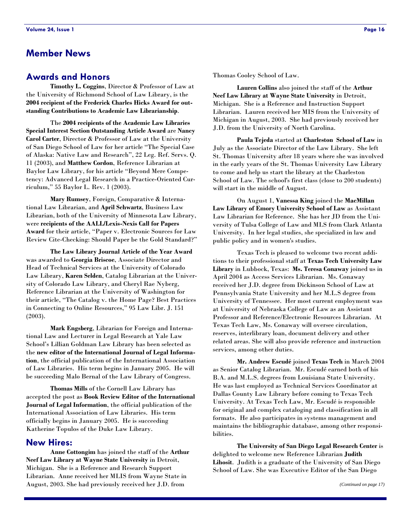# <span id="page-15-0"></span>**Member News**

#### **Awards and Honors**

**Timothy L. Coggins**, Director & Professor of Law at the University of Richmond School of Law Library, is the **2004 recipient of the Frederick Charles Hicks Award for outstanding Contributions to Academic Law Librarianship**.

 The **2004 recipients of the Academic Law Libraries Special Interest Section Outstanding Article Award** are **Nancy Carol Carter**, Director & Professor of Law at the University of San Diego School of Law for her article "The Special Case of Alaska: Native Law and Research", 22 Leg. Ref. Servs. Q. 11 (2003), and **Matthew Cordon**, Reference Librarian at Baylor Law Library, for his article "Beyond Mere Competency: Advanced Legal Research in a Practice-Oriented Curriculum," 55 Baylor L. Rev. 1 (2003).

**Mary Rumsey**, Foreign, Comparative & International Law Librarian, and **April Schwartz**, Business Law Librarian, both of the University of Minnesota Law Library, were **recipients of the AALL/Lexis-Nexis Call for Papers Award** for their article, "Paper v. Electronic Sources for Law Review Cite-Checking: Should Paper be the Gold Standard?"

**The Law Library Journal Article of the Year Award** was awarded to **Georgia Briscoe**, Associate Director and Head of Technical Services at the University of Colorado Law Library, **Karen Selden**, Catalog Librarian at the University of Colorado Law Library, and Cheryl Rae Nyberg, Reference Librarian at the University of Washington for their article, "The Catalog v. the Home Page? Best Practices in Connecting to Online Resources," 95 Law Libr. J. 151 (2003).

**Mark Engsberg**, Librarian for Foreign and International Law and Lecturer in Legal Research at Yale Law School's Lillian Goldman Law Library has been selected as the **new editor of the International Journal of Legal Information**, the official publication of the International Association of Law Libraries. His term begins in January 2005. He will be succeeding Malo Bernal of the Law Library of Congress.

**Thomas Mills** of the Cornell Law Library has accepted the post as **Book Review Editor of the International Journal of Legal Information**, the official publication of the International Association of Law Libraries. His term officially begins in January 2005. He is succeeding Katherine Topulos of the Duke Law Library.

#### **New Hires:**

**Anne Cottongim** has joined the staff of the **Arthur Neef Law Library at Wayne State University** in Detroit, Michigan. She is a Reference and Research Support Librarian. Anne received her MLIS from Wayne State in August, 2003. She had previously received her J.D. from

Thomas Cooley School of Law.

**Lauren Collins** also joined the staff of the **Arthur Neef Law Library at Wayne State University** in Detroit, Michigan. She is a Reference and Instruction Support Librarian. Lauren received her MIS from the University of Michigan in August, 2003. She had previously received her J.D. from the University of North Carolina.

**Paula Tejeda** started at **Charleston School of Law** in July as the Associate Director of the Law Library. She left St. Thomas University after 18 years where she was involved in the early years of the St. Thomas University Law Library to come and help us start the library at the Charleston School of Law. The school's first class (close to 200 students) will start in the middle of August.

 On August 1, **Vanessa King** joined the **MacMillan Law Library of Emory University School of Law** as Assistant Law Librarian for Reference. She has her JD from the University of Tulsa College of Law and MLS from Clark Atlanta University. In her legal studies, she specialized in law and public policy and in women's studies.

 Texas Tech is pleased to welcome two recent additions to their professional staff at **Texas Tech University Law Library** in Lubbock, Texas: **Ms. Teresa Conaway** joined us in April 2004 as Access Services Librarian. Ms. Conaway received her J.D. degree from Dickinson School of Law at Pennsylvania State University and her M.L.S degree from University of Tennessee. Her most current employment was at University of Nebraska College of Law as an Assistant Professor and Reference/Electronic Resources Librarian. At Texas Tech Law, Ms. Conaway will oversee circulation, reserves, interlibrary loan, document delivery and other related areas. She will also provide reference and instruction services, among other duties.

**Mr. Andrew Escudé** joined **Texas Tech** in March 2004 as Senior Catalog Librarian. Mr. Escudé earned both of his B.A. and M.L.S. degrees from Louisiana State University. He was last employed as Technical Services Coordinator at Dallas County Law Library before coming to Texas Tech University. At Texas Tech Law, Mr. Escudé is responsible for original and complex cataloging and classification in all formats. He also participates in systems management and maintains the bibliographic database, among other responsibilities.

**The University of San Diego Legal Research Center** is delighted to welcome new Reference Librarian **Judith Lihosit**. Judith is a graduate of the University of San Diego School of Law. She was Executive Editor of the San Diego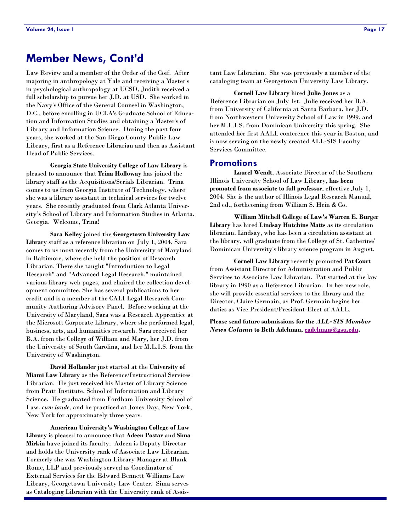# **Member News, Cont'd**

Law Review and a member of the Order of the Coif. After majoring in anthropology at Yale and receiving a Master's in psychological anthropology at UCSD, Judith received a full scholarship to pursue her J.D. at USD. She worked in the Navy's Office of the General Counsel in Washington, D.C., before enrolling in UCLA's Graduate School of Education and Information Studies and obtaining a Master's of Library and Information Science. During the past four years, she worked at the San Diego County Public Law Library, first as a Reference Librarian and then as Assistant Head of Public Services.

**Georgia State University College of Law Library** is pleased to announce that **Trina Holloway** has joined the library staff as the Acquisitions/Serials Librarian. Trina comes to us from Georgia Institute of Technology, where she was a library assistant in technical services for twelve years. She recently graduated from Clark Atlanta University's School of Library and Information Studies in Atlanta, Georgia. Welcome, Trina!

**Sara Kelley** joined the **Georgetown University Law Library** staff as a reference librarian on July 1, 2004. Sara comes to us most recently from the University of Maryland in Baltimore, where she held the position of Research Librarian. There she taught "Introduction to Legal Research" and "Advanced Legal Research," maintained various library web pages, and chaired the collection development committee. She has several publications to her credit and is a member of the CALI Legal Research Community Authoring Advisory Panel. Before working at the University of Maryland, Sara was a Research Apprentice at the Microsoft Corporate Library, where she performed legal, business, arts, and humanities research. Sara received her B.A. from the College of William and Mary, her J.D. from the University of South Carolina, and her M.L.I.S. from the University of Washington.

**David Hollander** just started at the **University of Miami Law Library** as the Reference/Instructional Services Librarian. He just received his Master of Library Science from Pratt Institute, School of Information and Library Science. He graduated from Fordham University School of Law, *cum laude*, and he practiced at Jones Day, New York, New York for approximately three years.

**American University's Washington College of Law Library** is pleased to announce that **Adeen Postar** and **Sima Mirkin** have joined its faculty. Adeen is Deputy Director and holds the University rank of Associate Law Librarian. Formerly she was Washington Library Manager at Blank Rome, LLP and previously served as Coordinator of External Services for the Edward Bennett Williams Law Library, Georgetown University Law Center. Sima serves as Cataloging Librarian with the University rank of Assistant Law Librarian. She was previously a member of the cataloging team at Georgetown University Law Library.

**Cornell Law Library** hired **Julie Jones** as a Reference Librarian on July 1st. Julie received her B.A. from University of California at Santa Barbara, her J.D. from Northwestern University School of Law in 1999, and her M.L.I.S. from Dominican University this spring. She attended her first AALL conference this year in Boston, and is now serving on the newly created ALL-SIS Faculty Services Committee.

#### **Promotions**

**Laurel Wendt**, Associate Director of the Southern Illinois University School of Law Library, **has been promoted from associate to full professor**, effective July 1, 2004. She is the author of Illinois Legal Research Manual, 2nd ed., forthcoming from William S. Hein & Co.

**William Mitchell College of Law's Warren E. Burger Library** has hired **Lindsay Hutchins Matts** as its circulation librarian. Lindsay, who has been a circulation assistant at the library, will graduate from the College of St. Catherine/ Dominican University's library science program in August.

**Cornell Law Library** recently promoted **Pat Court** from Assistant Director for Administration and Public Services to Associate Law Librarian. Pat started at the law library in 1990 as a Reference Librarian. In her new role, she will provide essential services to the library and the Director, Claire Germain, as Prof. Germain begins her duties as Vice President/President-Elect of AALL.

**Please send future submissions for the** *ALL-SIS Member News Column* **to Beth Adelman, [eadelman@gsu.edu](mailto:eadelman@gsu.edu).**